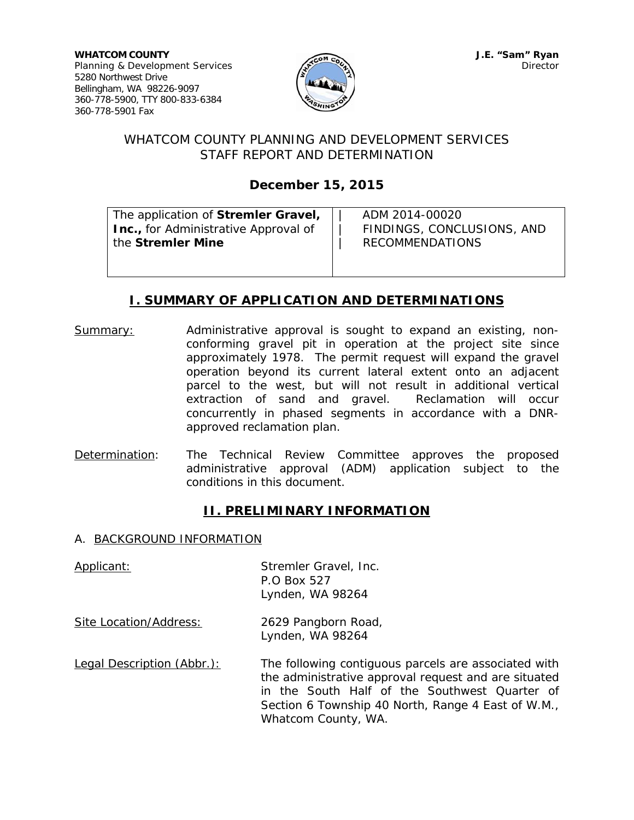

## WHATCOM COUNTY PLANNING AND DEVELOPMENT SERVICES STAFF REPORT AND DETERMINATION

# **December 15, 2015**

| The application of Stremler Gravel,          | ADM 2014-00020             |
|----------------------------------------------|----------------------------|
| <b>Inc.</b> , for Administrative Approval of | FINDINGS, CONCLUSIONS, AND |
| the Stremler Mine                            | <b>RECOMMENDATIONS</b>     |
|                                              |                            |
|                                              |                            |

## **I. SUMMARY OF APPLICATION AND DETERMINATIONS**

- Summary: Administrative approval is sought to expand an existing, nonconforming gravel pit in operation at the project site since approximately 1978. The permit request will expand the gravel operation beyond its current lateral extent onto an adjacent parcel to the west, but will not result in additional vertical extraction of sand and gravel. Reclamation will occur concurrently in phased segments in accordance with a DNRapproved reclamation plan.
- Determination: The Technical Review Committee approves the proposed administrative approval (ADM) application subject to the conditions in this document.

## **II. PRELIMINARY INFORMATION**

### A. BACKGROUND INFORMATION

| Applicant:                 | Stremler Gravel, Inc.<br>P.O Box 527<br>Lynden, WA 98264                                                                                                                                                                                   |
|----------------------------|--------------------------------------------------------------------------------------------------------------------------------------------------------------------------------------------------------------------------------------------|
| Site Location/Address:     | 2629 Pangborn Road,<br>Lynden, WA 98264                                                                                                                                                                                                    |
| Legal Description (Abbr.): | The following contiguous parcels are associated with<br>the administrative approval request and are situated<br>in the South Half of the Southwest Quarter of<br>Section 6 Township 40 North, Range 4 East of W.M.,<br>Whatcom County, WA. |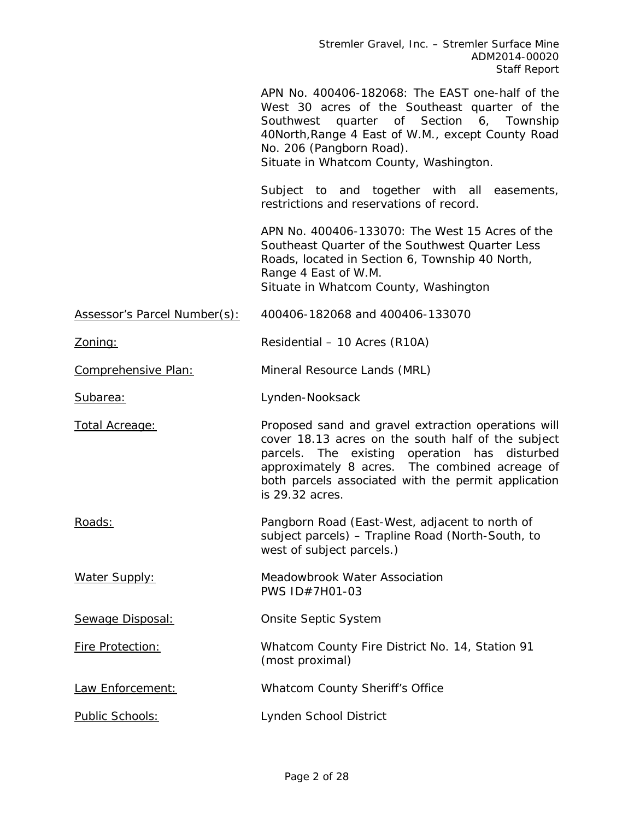Stremler Gravel, Inc. – Stremler Surface Mine ADM2014-00020 Staff Report

|                              | APN No. 400406-182068: The EAST one-half of the<br>West 30 acres of the Southeast quarter of the<br>quarter of Section<br>Southwest<br>6, Township<br>40North, Range 4 East of W.M., except County Road<br>No. 206 (Pangborn Road).<br>Situate in Whatcom County, Washington.          |
|------------------------------|----------------------------------------------------------------------------------------------------------------------------------------------------------------------------------------------------------------------------------------------------------------------------------------|
|                              | Subject to and together with all easements,<br>restrictions and reservations of record.                                                                                                                                                                                                |
|                              | APN No. 400406-133070: The West 15 Acres of the<br>Southeast Quarter of the Southwest Quarter Less<br>Roads, located in Section 6, Township 40 North,<br>Range 4 East of W.M.<br>Situate in Whatcom County, Washington                                                                 |
| Assessor's Parcel Number(s): | 400406-182068 and 400406-133070                                                                                                                                                                                                                                                        |
| <u>Zoning:</u>               | Residential - 10 Acres (R10A)                                                                                                                                                                                                                                                          |
| Comprehensive Plan:          | Mineral Resource Lands (MRL)                                                                                                                                                                                                                                                           |
| Subarea:                     | Lynden-Nooksack                                                                                                                                                                                                                                                                        |
| <b>Total Acreage:</b>        | Proposed sand and gravel extraction operations will<br>cover 18.13 acres on the south half of the subject<br>parcels. The existing operation has disturbed<br>approximately 8 acres. The combined acreage of<br>both parcels associated with the permit application<br>is 29.32 acres. |
| Roads:                       | Pangborn Road (East-West, adjacent to north of<br>subject parcels) - Trapline Road (North-South, to<br>west of subject parcels.)                                                                                                                                                       |
| <b>Water Supply:</b>         | Meadowbrook Water Association<br>PWS ID#7H01-03                                                                                                                                                                                                                                        |
| Sewage Disposal:             | Onsite Septic System                                                                                                                                                                                                                                                                   |
| Fire Protection:             | Whatcom County Fire District No. 14, Station 91<br>(most proximal)                                                                                                                                                                                                                     |
|                              |                                                                                                                                                                                                                                                                                        |
| Law Enforcement:             | Whatcom County Sheriff's Office                                                                                                                                                                                                                                                        |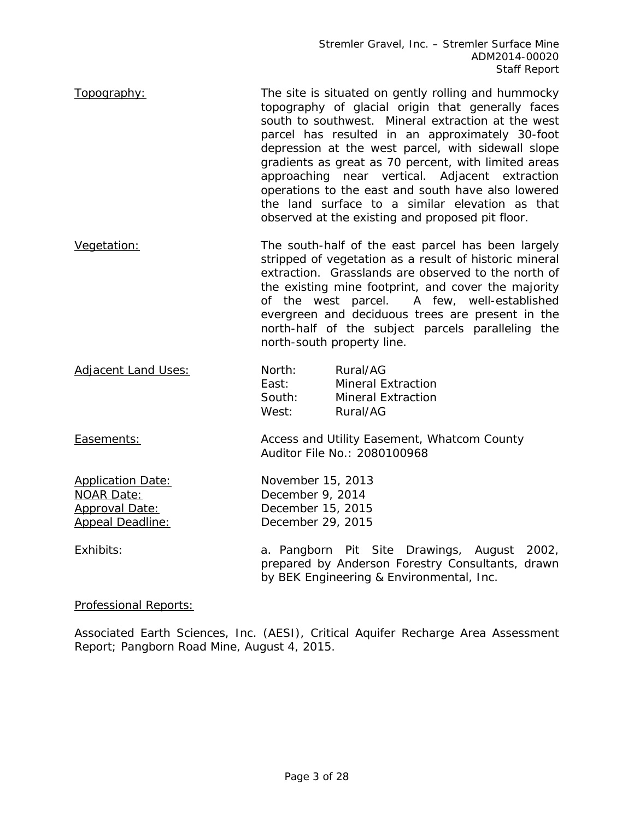Stremler Gravel, Inc. – Stremler Surface Mine ADM2014-00020 Staff Report

- Topography: The site is situated on gently rolling and hummocky topography of glacial origin that generally faces south to southwest. Mineral extraction at the west parcel has resulted in an approximately 30-foot depression at the west parcel, with sidewall slope gradients as great as 70 percent, with limited areas approaching near vertical. Adjacent extraction operations to the east and south have also lowered the land surface to a similar elevation as that observed at the existing and proposed pit floor.
- Vegetation: The south-half of the east parcel has been largely stripped of vegetation as a result of historic mineral extraction. Grasslands are observed to the north of the existing mine footprint, and cover the majority of the west parcel. A few, well-established evergreen and deciduous trees are present in the north-half of the subject parcels paralleling the north-south property line.
- Adjacent Land Uses: North: Rural/AG East: Mineral Extraction South: Mineral Extraction West: Rural/AG

Easements: Access and Utility Easement, Whatcom County Auditor File No.: 2080100968

Application Date: November 15, 2013 NOAR Date: December 9, 2014 Approval Date: December 15, 2015 Appeal Deadline: December 29, 2015

Exhibits: a. Pangborn Pit Site Drawings, August 2002, prepared by Anderson Forestry Consultants, drawn by BEK Engineering & Environmental, Inc.

Professional Reports:

Associated Earth Sciences, Inc. (AESI), Critical Aquifer Recharge Area Assessment Report; Pangborn Road Mine, August 4, 2015.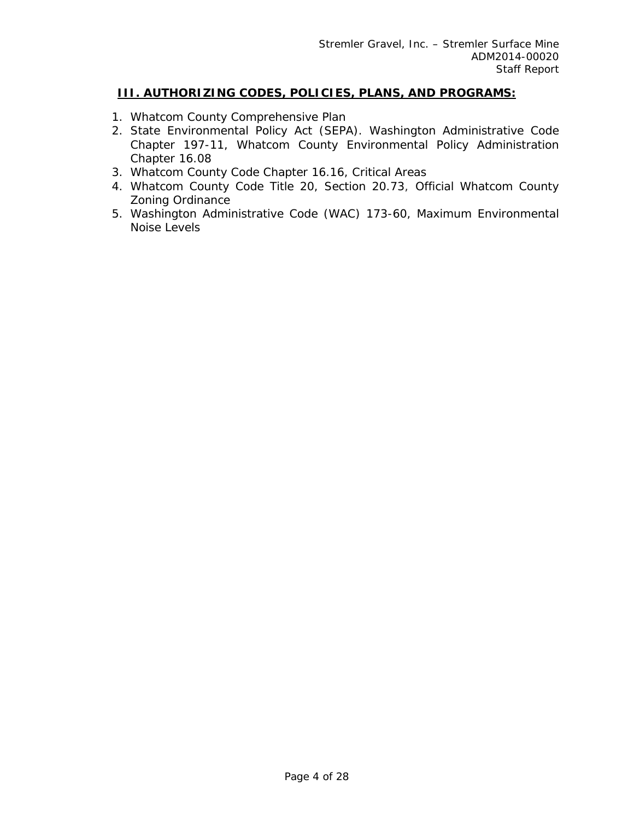## **III. AUTHORIZING CODES, POLICIES, PLANS, AND PROGRAMS:**

- 1. Whatcom County Comprehensive Plan
- 2. State Environmental Policy Act (SEPA). Washington Administrative Code Chapter 197-11, Whatcom County Environmental Policy Administration Chapter 16.08
- 3. Whatcom County Code Chapter 16.16, Critical Areas
- 4. Whatcom County Code Title 20, Section 20.73, Official Whatcom County Zoning Ordinance
- 5. Washington Administrative Code (WAC) 173-60, Maximum Environmental Noise Levels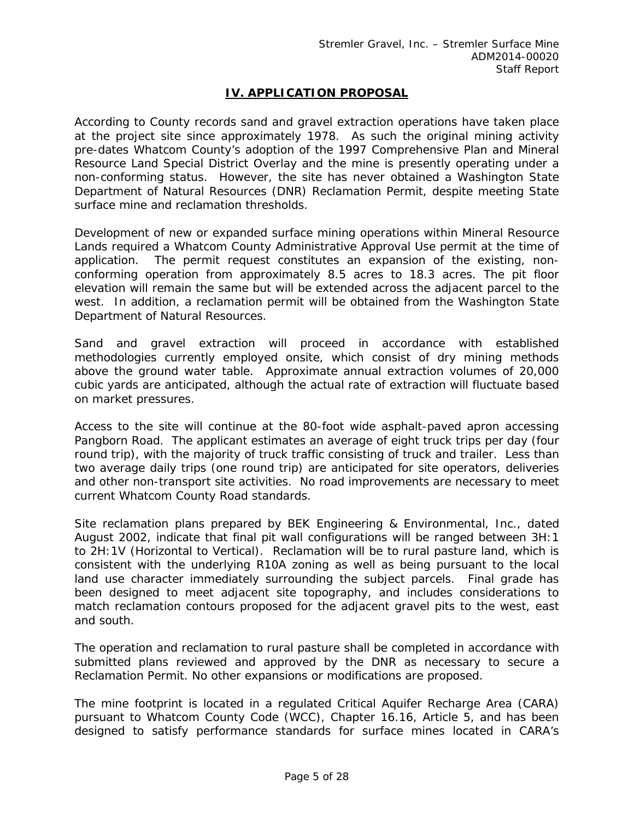## **IV. APPLICATION PROPOSAL**

According to County records sand and gravel extraction operations have taken place at the project site since approximately 1978. As such the original mining activity pre-dates Whatcom County's adoption of the 1997 Comprehensive Plan and Mineral Resource Land Special District Overlay and the mine is presently operating under a non-conforming status. However, the site has never obtained a Washington State Department of Natural Resources (DNR) Reclamation Permit, despite meeting State surface mine and reclamation thresholds.

Development of new or expanded surface mining operations within Mineral Resource Lands required a Whatcom County Administrative Approval Use permit at the time of application. The permit request constitutes an expansion of the existing, nonconforming operation from approximately 8.5 acres to 18.3 acres. The pit floor elevation will remain the same but will be extended across the adjacent parcel to the west. In addition, a reclamation permit will be obtained from the Washington State Department of Natural Resources.

Sand and gravel extraction will proceed in accordance with established methodologies currently employed onsite, which consist of dry mining methods above the ground water table. Approximate annual extraction volumes of 20,000 cubic yards are anticipated, although the actual rate of extraction will fluctuate based on market pressures.

Access to the site will continue at the 80-foot wide asphalt-paved apron accessing Pangborn Road. The applicant estimates an average of eight truck trips per day (four round trip), with the majority of truck traffic consisting of truck and trailer. Less than two average daily trips (one round trip) are anticipated for site operators, deliveries and other non-transport site activities. No road improvements are necessary to meet current Whatcom County Road standards.

Site reclamation plans prepared by BEK Engineering & Environmental, Inc., dated August 2002, indicate that final pit wall configurations will be ranged between 3H:1 to 2H:1V (Horizontal to Vertical). Reclamation will be to rural pasture land, which is consistent with the underlying R10A zoning as well as being pursuant to the local land use character immediately surrounding the subject parcels. Final grade has been designed to meet adjacent site topography, and includes considerations to match reclamation contours proposed for the adjacent gravel pits to the west, east and south.

The operation and reclamation to rural pasture shall be completed in accordance with submitted plans reviewed and approved by the DNR as necessary to secure a Reclamation Permit. No other expansions or modifications are proposed.

The mine footprint is located in a regulated Critical Aquifer Recharge Area (CARA) pursuant to Whatcom County Code (WCC), Chapter 16.16, Article 5, and has been designed to satisfy performance standards for surface mines located in CARA's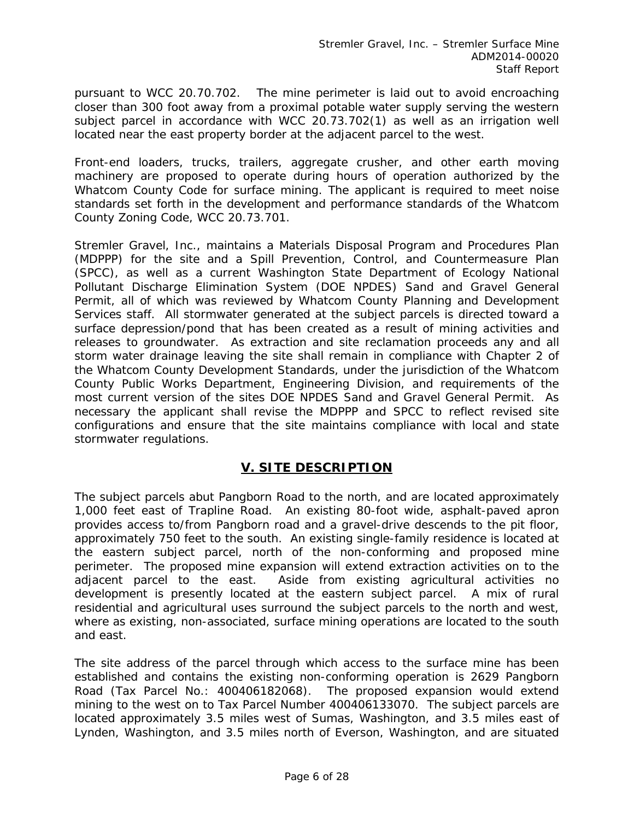pursuant to WCC 20.70.702. The mine perimeter is laid out to avoid encroaching closer than 300 foot away from a proximal potable water supply serving the western subject parcel in accordance with WCC 20.73.702(1) as well as an irrigation well located near the east property border at the adjacent parcel to the west.

Front-end loaders, trucks, trailers, aggregate crusher, and other earth moving machinery are proposed to operate during hours of operation authorized by the Whatcom County Code for surface mining. The applicant is required to meet noise standards set forth in the development and performance standards of the Whatcom County Zoning Code, WCC 20.73.701.

Stremler Gravel, Inc., maintains a Materials Disposal Program and Procedures Plan (MDPPP) for the site and a Spill Prevention, Control, and Countermeasure Plan (SPCC), as well as a current Washington State Department of Ecology National Pollutant Discharge Elimination System (DOE NPDES) Sand and Gravel General Permit, all of which was reviewed by Whatcom County Planning and Development Services staff. All stormwater generated at the subject parcels is directed toward a surface depression/pond that has been created as a result of mining activities and releases to groundwater. As extraction and site reclamation proceeds any and all storm water drainage leaving the site shall remain in compliance with Chapter 2 of the Whatcom County Development Standards, under the jurisdiction of the Whatcom County Public Works Department, Engineering Division, and requirements of the most current version of the sites DOE NPDES Sand and Gravel General Permit. As necessary the applicant shall revise the MDPPP and SPCC to reflect revised site configurations and ensure that the site maintains compliance with local and state stormwater regulations.

## **V. SITE DESCRIPTION**

The subject parcels abut Pangborn Road to the north, and are located approximately 1,000 feet east of Trapline Road. An existing 80-foot wide, asphalt-paved apron provides access to/from Pangborn road and a gravel-drive descends to the pit floor, approximately 750 feet to the south. An existing single-family residence is located at the eastern subject parcel, north of the non-conforming and proposed mine perimeter. The proposed mine expansion will extend extraction activities on to the adjacent parcel to the east. Aside from existing agricultural activities no development is presently located at the eastern subject parcel. A mix of rural residential and agricultural uses surround the subject parcels to the north and west, where as existing, non-associated, surface mining operations are located to the south and east.

The site address of the parcel through which access to the surface mine has been established and contains the existing non-conforming operation is 2629 Pangborn Road (Tax Parcel No.: 400406182068). The proposed expansion would extend mining to the west on to Tax Parcel Number 400406133070. The subject parcels are located approximately 3.5 miles west of Sumas, Washington, and 3.5 miles east of Lynden, Washington, and 3.5 miles north of Everson, Washington, and are situated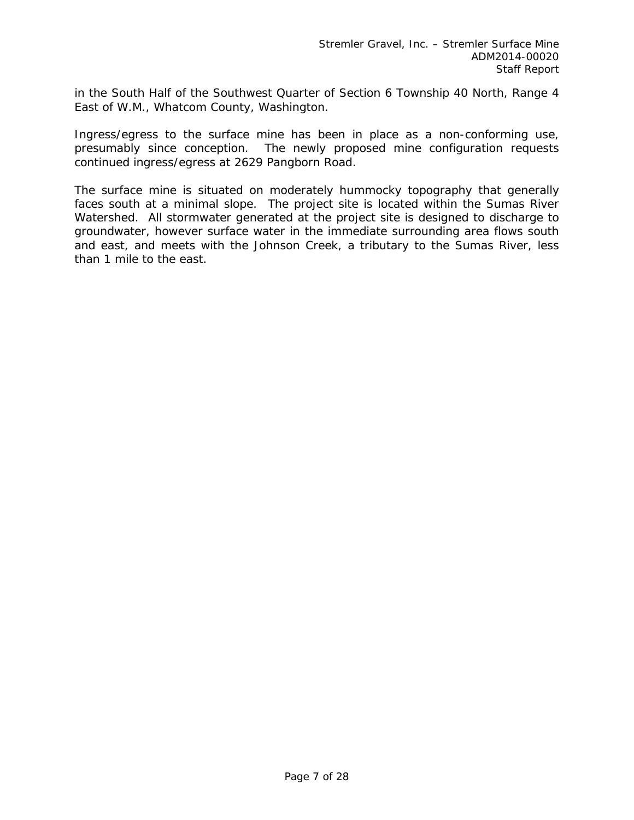in the South Half of the Southwest Quarter of Section 6 Township 40 North, Range 4 East of W.M., Whatcom County, Washington.

Ingress/egress to the surface mine has been in place as a non-conforming use, presumably since conception. The newly proposed mine configuration requests continued ingress/egress at 2629 Pangborn Road.

The surface mine is situated on moderately hummocky topography that generally faces south at a minimal slope. The project site is located within the Sumas River Watershed. All stormwater generated at the project site is designed to discharge to groundwater, however surface water in the immediate surrounding area flows south and east, and meets with the Johnson Creek, a tributary to the Sumas River, less than 1 mile to the east.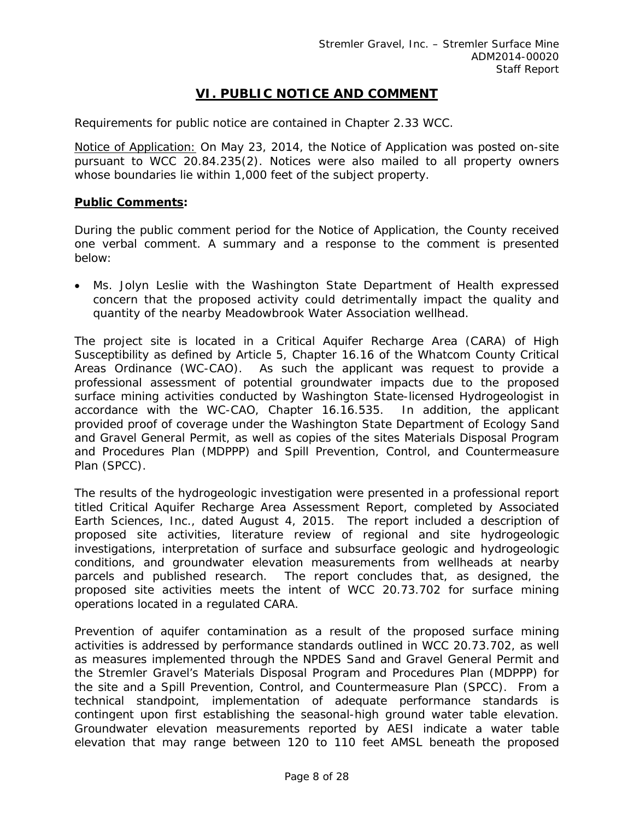## **VI. PUBLIC NOTICE AND COMMENT**

Requirements for public notice are contained in Chapter 2.33 WCC.

Notice of Application: On May 23, 2014, the Notice of Application was posted on-site pursuant to WCC 20.84.235(2). Notices were also mailed to all property owners whose boundaries lie within 1,000 feet of the subject property.

#### **Public Comments:**

During the public comment period for the Notice of Application, the County received one verbal comment. A summary and a response to the comment is presented below:

 Ms. Jolyn Leslie with the Washington State Department of Health expressed concern that the proposed activity could detrimentally impact the quality and quantity of the nearby Meadowbrook Water Association wellhead.

The project site is located in a Critical Aquifer Recharge Area (CARA) of High Susceptibility as defined by Article 5, Chapter 16.16 of the Whatcom County Critical Areas Ordinance (WC-CAO). As such the applicant was request to provide a professional assessment of potential groundwater impacts due to the proposed surface mining activities conducted by Washington State-licensed Hydrogeologist in accordance with the WC-CAO, Chapter 16.16.535. In addition, the applicant provided proof of coverage under the Washington State Department of Ecology Sand and Gravel General Permit, as well as copies of the sites Materials Disposal Program and Procedures Plan (MDPPP) and Spill Prevention, Control, and Countermeasure Plan (SPCC).

The results of the hydrogeologic investigation were presented in a professional report titled *Critical Aquifer Recharge Area Assessment Report,* completed by Associated Earth Sciences, Inc., dated August 4, 2015. The report included a description of proposed site activities, literature review of regional and site hydrogeologic investigations, interpretation of surface and subsurface geologic and hydrogeologic conditions, and groundwater elevation measurements from wellheads at nearby parcels and published research. The report concludes that, as designed, the proposed site activities meets the intent of WCC 20.73.702 for surface mining operations located in a regulated CARA.

Prevention of aquifer contamination as a result of the proposed surface mining activities is addressed by performance standards outlined in WCC 20.73.702, as well as measures implemented through the NPDES Sand and Gravel General Permit and the Stremler Gravel's Materials Disposal Program and Procedures Plan (MDPPP) for the site and a Spill Prevention, Control, and Countermeasure Plan (SPCC). From a technical standpoint, implementation of adequate performance standards is contingent upon first establishing the seasonal-high ground water table elevation. Groundwater elevation measurements reported by AESI indicate a water table elevation that may range between 120 to 110 feet AMSL beneath the proposed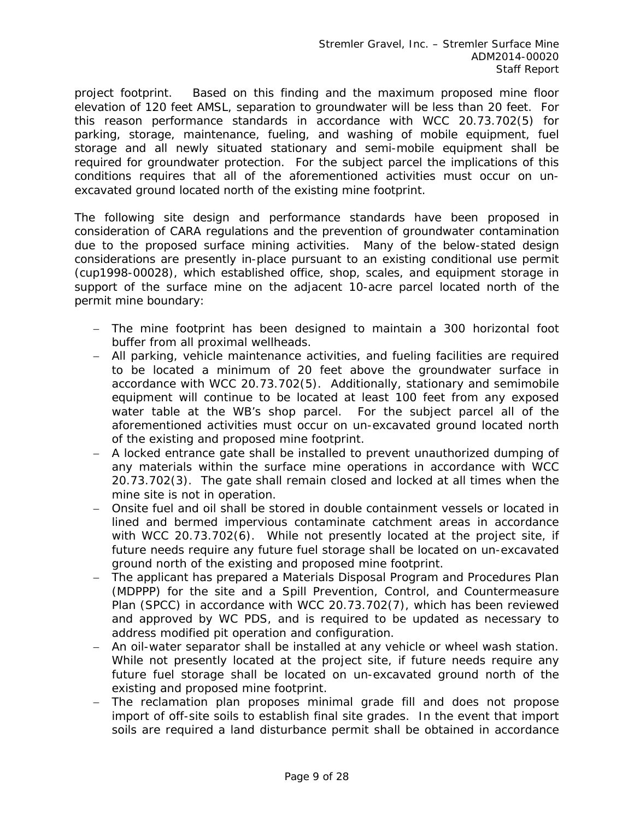project footprint. Based on this finding and the maximum proposed mine floor elevation of 120 feet AMSL, separation to groundwater will be less than 20 feet. For this reason performance standards in accordance with WCC 20.73.702(5) for parking, storage, maintenance, fueling, and washing of mobile equipment, fuel storage and all newly situated stationary and semi-mobile equipment shall be required for groundwater protection. For the subject parcel the implications of this conditions requires that all of the aforementioned activities must occur on unexcavated ground located north of the existing mine footprint.

The following site design and performance standards have been proposed in consideration of CARA regulations and the prevention of groundwater contamination due to the proposed surface mining activities. Many of the below-stated design considerations are presently in-place pursuant to an existing conditional use permit (cup1998-00028), which established office, shop, scales, and equipment storage in support of the surface mine on the adjacent 10-acre parcel located north of the permit mine boundary:

- *The mine footprint has been designed to maintain a 300 horizontal foot buffer from all proximal wellheads.*
- *All parking, vehicle maintenance activities, and fueling facilities are required to be located a minimum of 20 feet above the groundwater surface in accordance with WCC 20.73.702(5). Additionally, stationary and semimobile equipment will continue to be located at least 100 feet from any exposed water table at the WB's shop parcel. For the subject parcel all of the aforementioned activities must occur on un-excavated ground located north of the existing and proposed mine footprint.*
- *A locked entrance gate shall be installed to prevent unauthorized dumping of any materials within the surface mine operations in accordance with WCC 20.73.702(3). The gate shall remain closed and locked at all times when the mine site is not in operation.*
- *Onsite fuel and oil shall be stored in double containment vessels or located in lined and bermed impervious contaminate catchment areas in accordance with WCC 20.73.702(6). While not presently located at the project site, if future needs require any future fuel storage shall be located on un-excavated ground north of the existing and proposed mine footprint.*
- *The applicant has prepared a Materials Disposal Program and Procedures Plan (MDPPP) for the site and a Spill Prevention, Control, and Countermeasure Plan (SPCC) in accordance with WCC 20.73.702(7), which has been reviewed and approved by WC PDS, and is required to be updated as necessary to address modified pit operation and configuration.*
- *An oil-water separator shall be installed at any vehicle or wheel wash station. While not presently located at the project site, if future needs require any future fuel storage shall be located on un-excavated ground north of the existing and proposed mine footprint.*
- *The reclamation plan proposes minimal grade fill and does not propose import of off-site soils to establish final site grades. In the event that import soils are required a land disturbance permit shall be obtained in accordance*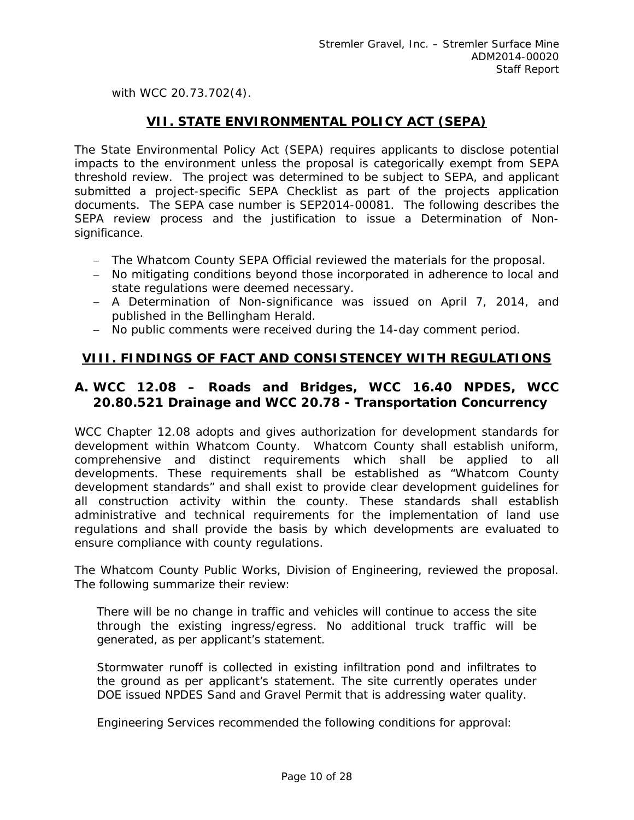*with WCC 20.73.702(4).* 

## **VII. STATE ENVIRONMENTAL POLICY ACT (SEPA)**

The State Environmental Policy Act (SEPA) requires applicants to disclose potential impacts to the environment unless the proposal is categorically exempt from SEPA threshold review. The project was determined to be subject to SEPA, and applicant submitted a project-specific SEPA Checklist as part of the projects application documents. The SEPA case number is SEP2014-00081. The following describes the SEPA review process and the justification to issue a Determination of Nonsignificance.

- *The Whatcom County SEPA Official reviewed the materials for the proposal.*
- *No mitigating conditions beyond those incorporated in adherence to local and state regulations were deemed necessary.*
- *A Determination of Non-significance was issued on April 7, 2014, and published in the Bellingham Herald.*
- *No public comments were received during the 14-day comment period.*

## **VIII. FINDINGS OF FACT AND CONSISTENCEY WITH REGULATIONS**

## **A. WCC 12.08 – Roads and Bridges, WCC 16.40 NPDES, WCC 20.80.521 Drainage and WCC 20.78 - Transportation Concurrency**

WCC Chapter 12.08 adopts and gives authorization for development standards for development within Whatcom County. Whatcom County shall establish uniform, comprehensive and distinct requirements which shall be applied to all developments. These requirements shall be established as "Whatcom County development standards" and shall exist to provide clear development guidelines for all construction activity within the county. These standards shall establish administrative and technical requirements for the implementation of land use regulations and shall provide the basis by which developments are evaluated to ensure compliance with county regulations.

The Whatcom County Public Works, Division of Engineering, reviewed the proposal. The following summarize their review:

There will be no change in traffic and vehicles will continue to access the site through the existing ingress/egress. No additional truck traffic will be generated, as per applicant's statement.

Stormwater runoff is collected in existing infiltration pond and infiltrates to the ground as per applicant's statement. The site currently operates under DOE issued NPDES Sand and Gravel Permit that is addressing water quality.

Engineering Services recommended the following conditions for approval: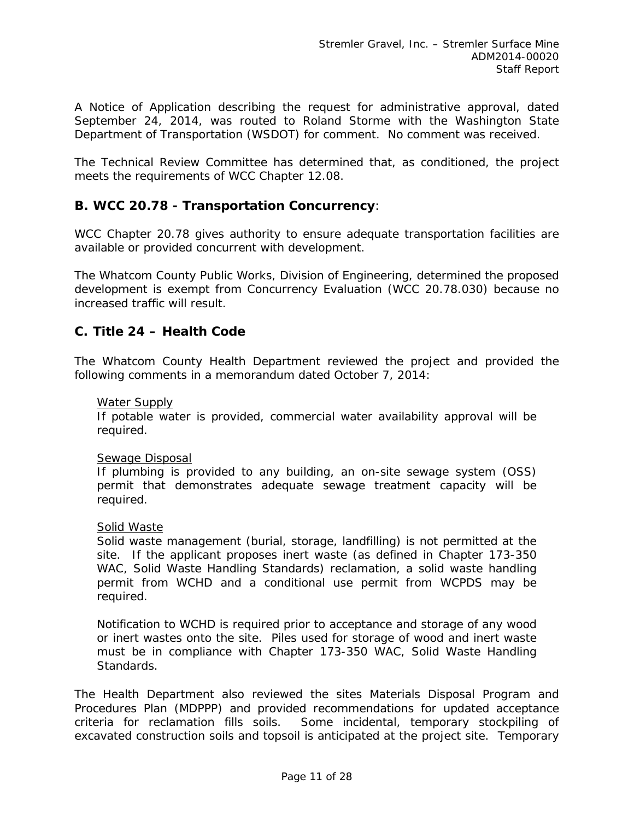*A Notice of Application describing the request for administrative approval, dated September 24, 2014, was routed to Roland Storme with the Washington State Department of Transportation (WSDOT) for comment. No comment was received.* 

*The Technical Review Committee has determined that, as conditioned, the project meets the requirements of WCC Chapter 12.08.* 

## **B. WCC 20.78 - Transportation Concurrency**:

WCC Chapter 20.78 gives authority to ensure adequate transportation facilities are available or provided concurrent with development.

*The Whatcom County Public Works, Division of Engineering, determined the proposed development is exempt from Concurrency Evaluation (WCC 20.78.030) because no increased traffic will result.* 

## **C. Title 24 – Health Code**

The Whatcom County Health Department reviewed the project and provided the following comments in a memorandum dated October 7, 2014:

#### Water Supply

If potable water is provided, commercial water availability approval will be required.

#### Sewage Disposal

If plumbing is provided to any building, an on-site sewage system (OSS) permit that demonstrates adequate sewage treatment capacity will be required.

#### Solid Waste

Solid waste management (burial, storage, landfilling) is not permitted at the site. If the applicant proposes inert waste (as defined in Chapter 173-350 WAC, Solid Waste Handling Standards) reclamation, a solid waste handling permit from WCHD and a conditional use permit from WCPDS may be required.

Notification to WCHD is required prior to acceptance and storage of any wood or inert wastes onto the site. Piles used for storage of wood and inert waste must be in compliance with Chapter 173-350 WAC, Solid Waste Handling Standards.

The Health Department also reviewed the sites Materials Disposal Program and Procedures Plan (MDPPP) and provided recommendations for updated acceptance criteria for reclamation fills soils. Some incidental, temporary stockpiling of excavated construction soils and topsoil is anticipated at the project site. Temporary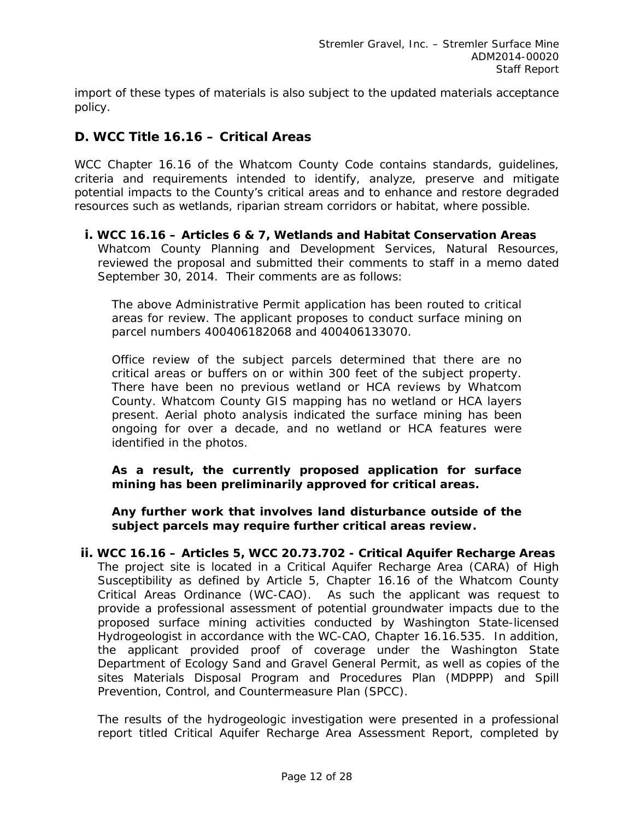import of these types of materials is also subject to the updated materials acceptance policy.

## **D. WCC Title 16.16 – Critical Areas**

WCC Chapter 16.16 of the Whatcom County Code contains standards, guidelines, criteria and requirements intended to identify, analyze, preserve and mitigate potential impacts to the County's critical areas and to enhance and restore degraded resources such as wetlands, riparian stream corridors or habitat, where possible.

### **i. WCC 16.16 – Articles 6 & 7, Wetlands and Habitat Conservation Areas**

Whatcom County Planning and Development Services, Natural Resources, reviewed the proposal and submitted their comments to staff in a memo dated September 30, 2014. Their comments are as follows:

The above Administrative Permit application has been routed to critical areas for review. The applicant proposes to conduct surface mining on parcel numbers 400406182068 and 400406133070.

Office review of the subject parcels determined that there are no critical areas or buffers on or within 300 feet of the subject property. There have been no previous wetland or HCA reviews by Whatcom County. Whatcom County GIS mapping has no wetland or HCA layers present. Aerial photo analysis indicated the surface mining has been ongoing for over a decade, and no wetland or HCA features were identified in the photos.

**As a result, the currently proposed application for surface mining has been preliminarily approved for critical areas.** 

**Any further work that involves land disturbance outside of the subject parcels may require further critical areas review.** 

**ii. WCC 16.16 – Articles 5, WCC 20.73.702 - Critical Aquifer Recharge Areas** The project site is located in a Critical Aquifer Recharge Area (CARA) of High Susceptibility as defined by Article 5, Chapter 16.16 of the Whatcom County Critical Areas Ordinance (WC-CAO). As such the applicant was request to provide a professional assessment of potential groundwater impacts due to the proposed surface mining activities conducted by Washington State-licensed Hydrogeologist in accordance with the WC-CAO, Chapter 16.16.535. In addition, the applicant provided proof of coverage under the Washington State Department of Ecology Sand and Gravel General Permit, as well as copies of the sites Materials Disposal Program and Procedures Plan (MDPPP) and Spill Prevention, Control, and Countermeasure Plan (SPCC).

The results of the hydrogeologic investigation were presented in a professional report titled Critical Aquifer Recharge Area Assessment Report, completed by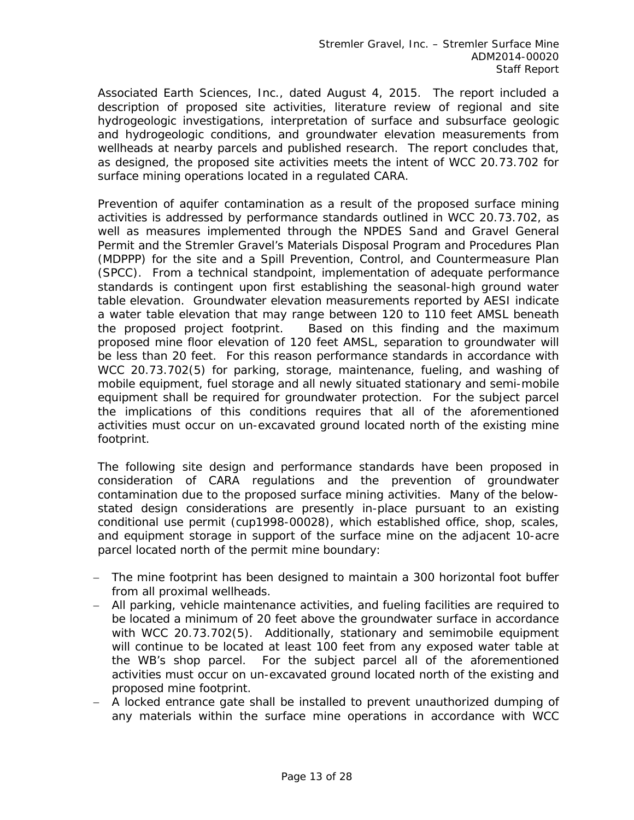Associated Earth Sciences, Inc., dated August 4, 2015. The report included a description of proposed site activities, literature review of regional and site hydrogeologic investigations, interpretation of surface and subsurface geologic and hydrogeologic conditions, and groundwater elevation measurements from wellheads at nearby parcels and published research. The report concludes that, as designed, the proposed site activities meets the intent of WCC 20.73.702 for surface mining operations located in a regulated CARA.

Prevention of aquifer contamination as a result of the proposed surface mining activities is addressed by performance standards outlined in WCC 20.73.702, as well as measures implemented through the NPDES Sand and Gravel General Permit and the Stremler Gravel's Materials Disposal Program and Procedures Plan (MDPPP) for the site and a Spill Prevention, Control, and Countermeasure Plan (SPCC). From a technical standpoint, implementation of adequate performance standards is contingent upon first establishing the seasonal-high ground water table elevation. Groundwater elevation measurements reported by AESI indicate a water table elevation that may range between 120 to 110 feet AMSL beneath the proposed project footprint. Based on this finding and the maximum proposed mine floor elevation of 120 feet AMSL, separation to groundwater will be less than 20 feet. For this reason performance standards in accordance with WCC 20.73.702(5) for parking, storage, maintenance, fueling, and washing of mobile equipment, fuel storage and all newly situated stationary and semi-mobile equipment shall be required for groundwater protection. For the subject parcel the implications of this conditions requires that all of the aforementioned activities must occur on un-excavated ground located north of the existing mine footprint.

The following site design and performance standards have been proposed in consideration of CARA regulations and the prevention of groundwater contamination due to the proposed surface mining activities. Many of the belowstated design considerations are presently in-place pursuant to an existing conditional use permit (cup1998-00028), which established office, shop, scales, and equipment storage in support of the surface mine on the adjacent 10-acre parcel located north of the permit mine boundary:

- The mine footprint has been designed to maintain a 300 horizontal foot buffer from all proximal wellheads.
- All parking, vehicle maintenance activities, and fueling facilities are required to be located a minimum of 20 feet above the groundwater surface in accordance with WCC 20.73.702(5). Additionally, stationary and semimobile equipment will continue to be located at least 100 feet from any exposed water table at the WB's shop parcel. For the subject parcel all of the aforementioned activities must occur on un-excavated ground located north of the existing and proposed mine footprint.
- A locked entrance gate shall be installed to prevent unauthorized dumping of any materials within the surface mine operations in accordance with WCC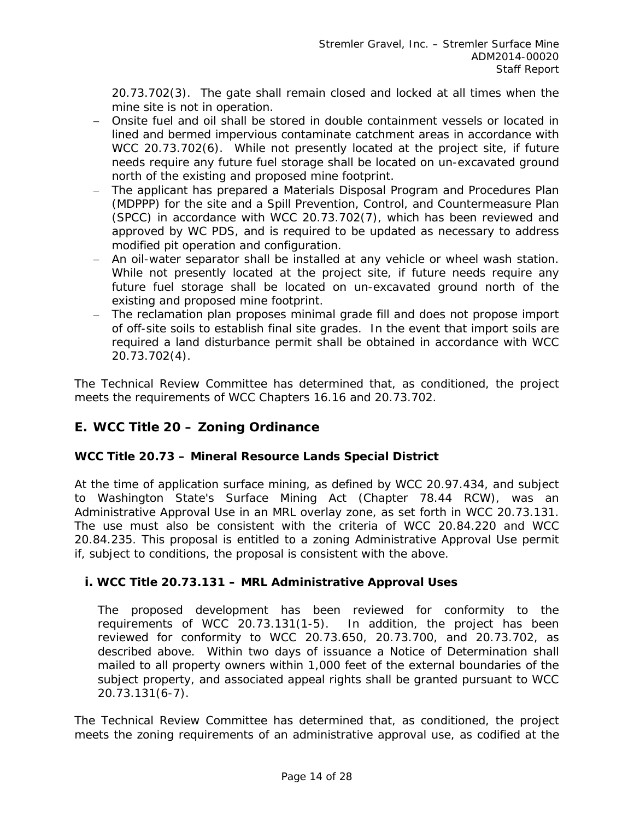20.73.702(3). The gate shall remain closed and locked at all times when the mine site is not in operation.

- Onsite fuel and oil shall be stored in double containment vessels or located in lined and bermed impervious contaminate catchment areas in accordance with WCC 20.73.702(6). While not presently located at the project site, if future needs require any future fuel storage shall be located on un-excavated ground north of the existing and proposed mine footprint.
- The applicant has prepared a Materials Disposal Program and Procedures Plan (MDPPP) for the site and a Spill Prevention, Control, and Countermeasure Plan (SPCC) in accordance with WCC 20.73.702(7), which has been reviewed and approved by WC PDS, and is required to be updated as necessary to address modified pit operation and configuration.
- An oil-water separator shall be installed at any vehicle or wheel wash station. While not presently located at the project site, if future needs require any future fuel storage shall be located on un-excavated ground north of the existing and proposed mine footprint.
- The reclamation plan proposes minimal grade fill and does not propose import of off-site soils to establish final site grades. In the event that import soils are required a land disturbance permit shall be obtained in accordance with WCC 20.73.702(4).

*The Technical Review Committee has determined that, as conditioned, the project meets the requirements of WCC Chapters 16.16 and 20.73.702.* 

## **E. WCC Title 20 – Zoning Ordinance**

## **WCC Title 20.73 – Mineral Resource Lands Special District**

At the time of application surface mining, as defined by WCC 20.97.434, and subject to Washington State's Surface Mining Act (Chapter 78.44 RCW), was an Administrative Approval Use in an MRL overlay zone, as set forth in WCC 20.73.131. The use must also be consistent with the criteria of WCC 20.84.220 and WCC 20.84.235. This proposal is entitled to a zoning Administrative Approval Use permit if, subject to conditions, the proposal is consistent with the above.

## **i. WCC Title 20.73.131 – MRL Administrative Approval Uses**

The proposed development has been reviewed for conformity to the requirements of WCC 20.73.131(1-5). In addition, the project has been reviewed for conformity to WCC 20.73.650, 20.73.700, and 20.73.702, as described above. Within two days of issuance a Notice of Determination shall mailed to all property owners within 1,000 feet of the external boundaries of the subject property, and associated appeal rights shall be granted pursuant to WCC 20.73.131(6-7).

*The Technical Review Committee has determined that, as conditioned, the project meets the zoning requirements of an administrative approval use, as codified at the*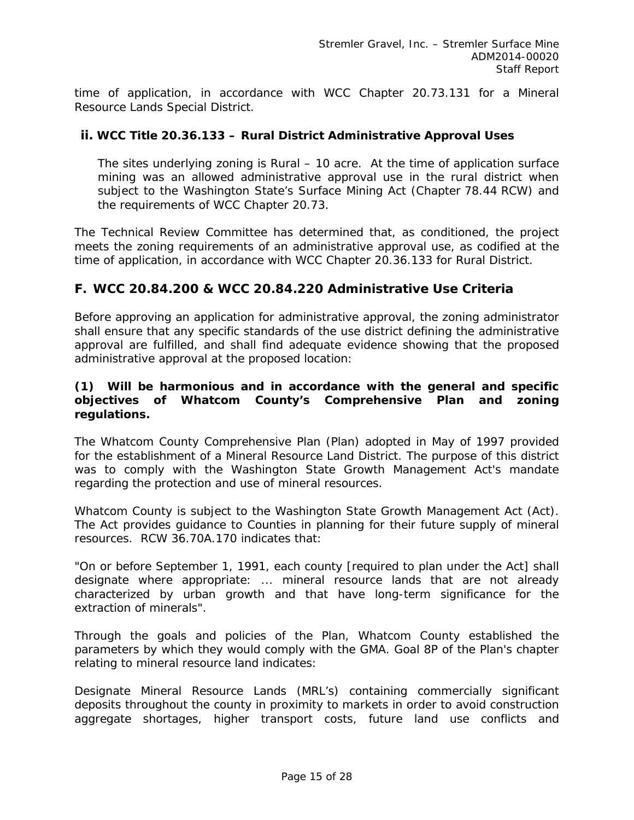*time of application, in accordance with WCC Chapter 20.73.131 for a Mineral Resource Lands Special District.* 

### **ii. WCC Title 20.36.133 – Rural District Administrative Approval Uses**

The sites underlying zoning is Rural – 10 acre. At the time of application surface mining was an allowed administrative approval use in the rural district when subject to the Washington State's Surface Mining Act (Chapter 78.44 RCW) and the requirements of WCC Chapter 20.73.

*The Technical Review Committee has determined that, as conditioned, the project meets the zoning requirements of an administrative approval use, as codified at the time of application, in accordance with WCC Chapter 20.36.133 for Rural District.* 

## **F. WCC 20.84.200 & WCC 20.84.220 Administrative Use Criteria**

Before approving an application for administrative approval, the zoning administrator shall ensure that any specific standards of the use district defining the administrative approval are fulfilled, and shall find adequate evidence showing that the proposed administrative approval at the proposed location:

### **(1) Will be harmonious and in accordance with the general and specific objectives of Whatcom County's Comprehensive Plan and zoning regulations.**

The Whatcom County Comprehensive Plan (Plan) adopted in May of 1997 provided for the establishment of a Mineral Resource Land District. The purpose of this district was to comply with the Washington State Growth Management Act's mandate regarding the protection and use of mineral resources.

Whatcom County is subject to the Washington State Growth Management Act (Act). The Act provides guidance to Counties in planning for their future supply of mineral resources. RCW 36.70A.170 indicates that:

*"On or before September 1, 1991, each county [required to plan under the Act] shall designate where appropriate:* ... *mineral resource lands that are not already characterized by urban growth and that have long-term significance for the extraction of minerals".* 

Through the goals and policies of the Plan, Whatcom County established the parameters by which they would comply with the GMA. Goal 8P of the Plan's chapter relating to mineral resource land indicates:

*Designate Mineral Resource Lands (MRL's) containing commercially significant deposits throughout the county in proximity to markets in order to avoid construction aggregate shortages, higher transport costs, future land use conflicts and*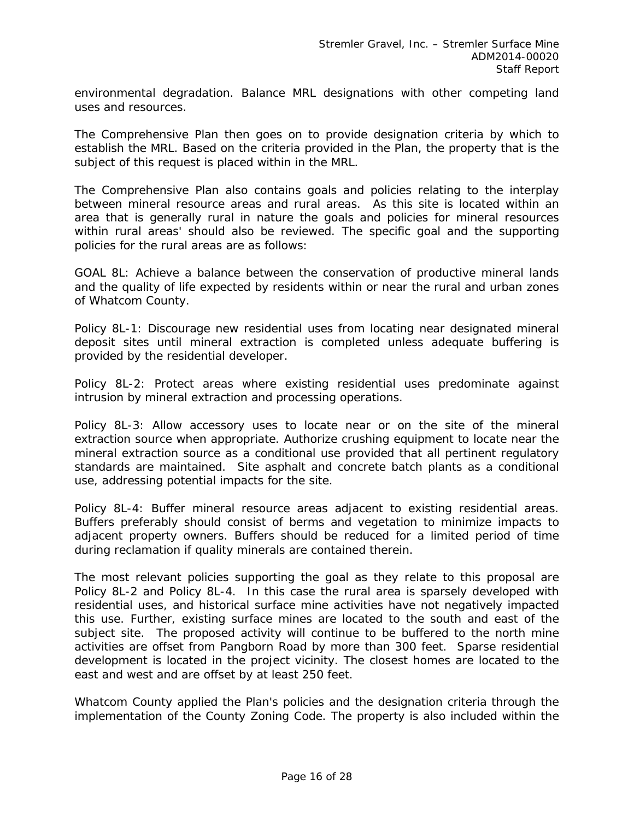*environmental degradation. Balance MRL designations with other competing land uses and resources.*

The Comprehensive Plan then goes on to provide designation criteria by which to establish the MRL. Based on the criteria provided in the Plan, the property that is the subject of this request is placed within in the MRL.

The Comprehensive Plan also contains goals and policies relating to the interplay between mineral resource areas and rural areas. As this site is located within an area that is generally rural in nature the goals and policies for mineral resources within rural areas' should also be reviewed. The specific goal and the supporting policies for the rural areas are as follows:

*GOAL 8L: Achieve a balance between the conservation of productive mineral lands and the quality of life expected by residents within or near the rural and urban zones of Whatcom County.*

*Policy 8L-1: Discourage new residential uses from locating near designated mineral deposit sites until mineral extraction is completed unless adequate buffering is provided by the residential developer.*

*Policy 8L-2: Protect areas where existing residential uses predominate against intrusion by mineral extraction and processing operations.*

*Policy 8L-3: Allow accessory uses to locate near or on the site of the mineral extraction source when appropriate. Authorize crushing equipment to locate near the mineral extraction source as a conditional use provided that all pertinent regulatory standards are maintained. Site asphalt and concrete batch plants as a conditional use, addressing potential impacts for the site.*

*Policy 8L-4: Buffer mineral resource areas adjacent to existing residential areas. Buffers preferably should consist of berms and vegetation to minimize impacts to adjacent property owners. Buffers should be reduced for a limited period of time during reclamation if quality minerals are contained therein.*

The most relevant policies supporting the goal as they relate to this proposal are Policy 8L-2 and Policy 8L-4. In this case the rural area is sparsely developed with residential uses, and historical surface mine activities have not negatively impacted this use. Further, existing surface mines are located to the south and east of the subject site. The proposed activity will continue to be buffered to the north mine activities are offset from Pangborn Road by more than 300 feet. Sparse residential development is located in the project vicinity. The closest homes are located to the east and west and are offset by at least 250 feet.

Whatcom County applied the Plan's policies and the designation criteria through the implementation of the County Zoning Code. The property is also included within the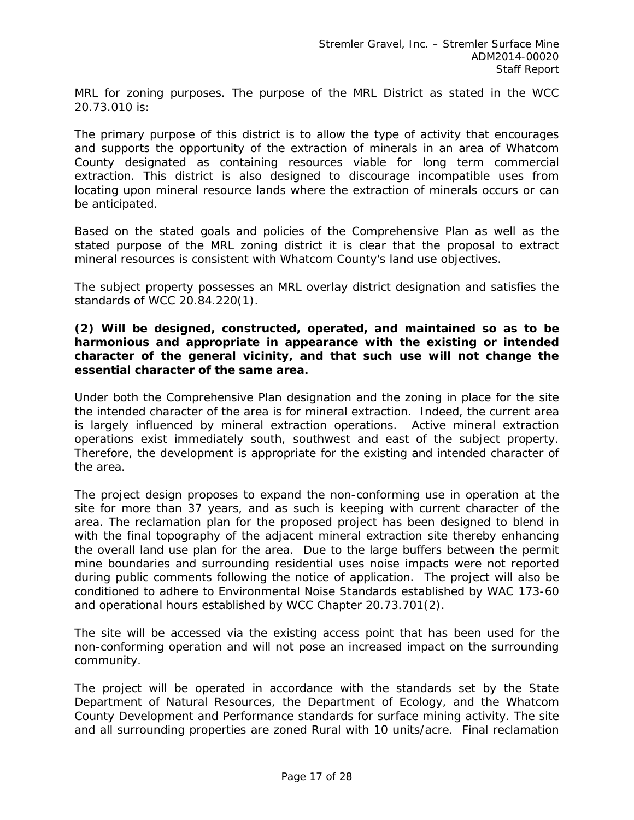MRL for zoning purposes. The purpose of the MRL District as stated in the WCC 20.73.010 is:

*The primary purpose of this district is to allow the type of activity that encourages and supports the opportunity of the extraction of minerals in an area of Whatcom County designated as containing resources viable for long term commercial extraction. This district is also designed to discourage incompatible uses from locating upon mineral resource lands where the extraction of minerals occurs or can be anticipated.*

Based on the stated goals and policies of the Comprehensive Plan as well as the stated purpose of the MRL zoning district it is clear that the proposal to extract mineral resources is consistent with Whatcom County's land use objectives.

The subject property possesses an MRL overlay district designation and satisfies the standards of WCC 20.84.220(1).

### **(2) Will be designed, constructed, operated, and maintained so as to be harmonious and appropriate in appearance with the existing or intended character of the general vicinity, and that such use will not change the essential character of the same area.**

Under both the Comprehensive Plan designation and the zoning in place for the site the intended character of the area is for mineral extraction. Indeed, the current area is largely influenced by mineral extraction operations. Active mineral extraction operations exist immediately south, southwest and east of the subject property. Therefore, the development is appropriate for the existing and intended character of the area.

The project design proposes to expand the non-conforming use in operation at the site for more than 37 years, and as such is keeping with current character of the area. The reclamation plan for the proposed project has been designed to blend in with the final topography of the adjacent mineral extraction site thereby enhancing the overall land use plan for the area. Due to the large buffers between the permit mine boundaries and surrounding residential uses noise impacts were not reported during public comments following the notice of application. The project will also be conditioned to adhere to Environmental Noise Standards established by WAC 173-60 and operational hours established by WCC Chapter 20.73.701(2).

The site will be accessed via the existing access point that has been used for the non-conforming operation and will not pose an increased impact on the surrounding community.

The project will be operated in accordance with the standards set by the State Department of Natural Resources, the Department of Ecology, and the Whatcom County Development and Performance standards for surface mining activity. The site and all surrounding properties are zoned Rural with 10 units/acre. Final reclamation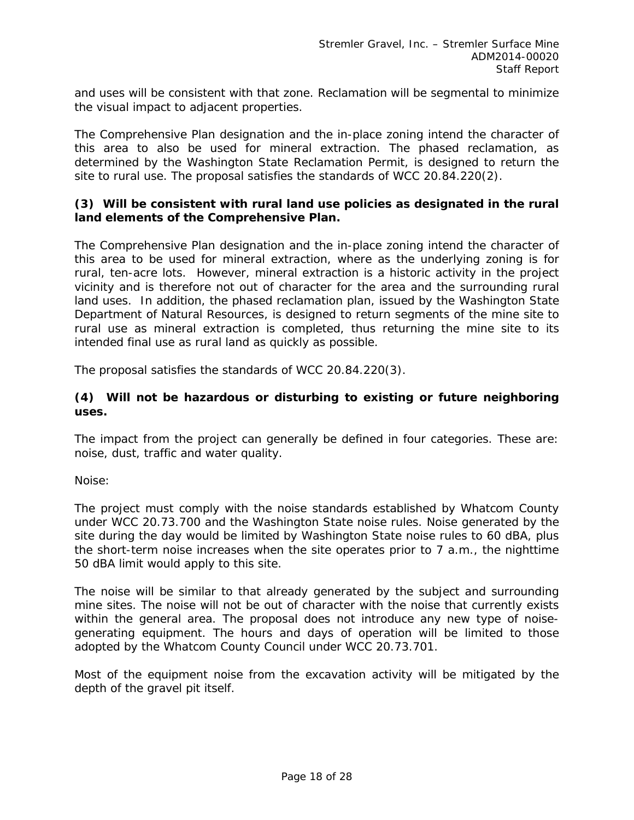and uses will be consistent with that zone. Reclamation will be segmental to minimize the visual impact to adjacent properties.

The Comprehensive Plan designation and the in-place zoning intend the character of this area to also be used for mineral extraction. The phased reclamation, as determined by the Washington State Reclamation Permit, is designed to return the site to rural use. The proposal satisfies the standards of WCC 20.84.220(2).

### **(3) Will be consistent with rural land use policies as designated in the rural land elements of the Comprehensive Plan.**

The Comprehensive Plan designation and the in-place zoning intend the character of this area to be used for mineral extraction, where as the underlying zoning is for rural, ten-acre lots. However, mineral extraction is a historic activity in the project vicinity and is therefore not out of character for the area and the surrounding rural land uses. In addition, the phased reclamation plan, issued by the Washington State Department of Natural Resources, is designed to return segments of the mine site to rural use as mineral extraction is completed, thus returning the mine site to its intended final use as rural land as quickly as possible.

The proposal satisfies the standards of WCC 20.84.220(3).

## **(4) Will not be hazardous or disturbing to existing or future neighboring uses.**

The impact from the project can generally be defined in four categories. These are: noise, dust, traffic and water quality.

Noise:

The project must comply with the noise standards established by Whatcom County under WCC 20.73.700 and the Washington State noise rules. Noise generated by the site during the day would be limited by Washington State noise rules to 60 dBA, plus the short-term noise increases when the site operates prior to 7 a.m., the nighttime 50 dBA limit would apply to this site.

The noise will be similar to that already generated by the subject and surrounding mine sites. The noise will not be out of character with the noise that currently exists within the general area. The proposal does not introduce any new type of noisegenerating equipment. The hours and days of operation will be limited to those adopted by the Whatcom County Council under WCC 20.73.701.

Most of the equipment noise from the excavation activity will be mitigated by the depth of the gravel pit itself.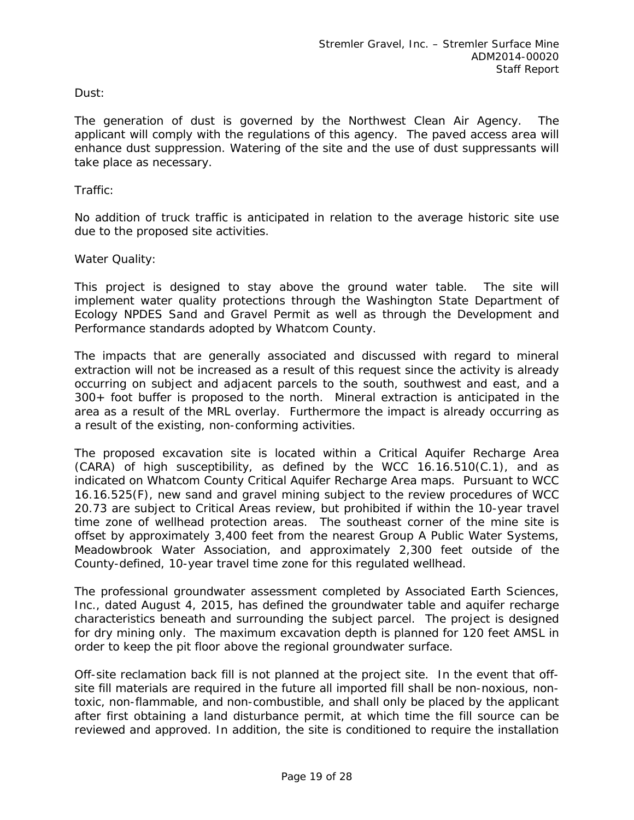### Dust:

The generation of dust is governed by the Northwest Clean Air Agency. The applicant will comply with the regulations of this agency. The paved access area will enhance dust suppression. Watering of the site and the use of dust suppressants will take place as necessary.

Traffic:

No addition of truck traffic is anticipated in relation to the average historic site use due to the proposed site activities.

Water Quality:

This project is designed to stay above the ground water table. The site will implement water quality protections through the Washington State Department of Ecology NPDES Sand and Gravel Permit as well as through the Development and Performance standards adopted by Whatcom County.

The impacts that are generally associated and discussed with regard to mineral extraction will not be increased as a result of this request since the activity is already occurring on subject and adjacent parcels to the south, southwest and east, and a 300+ foot buffer is proposed to the north. Mineral extraction is anticipated in the area as a result of the MRL overlay. Furthermore the impact is already occurring as a result of the existing, non-conforming activities.

The proposed excavation site is located within a Critical Aquifer Recharge Area  $(CARA)$  of high susceptibility, as defined by the WCC 16.16.510 $(C.1)$ , and as indicated on Whatcom County Critical Aquifer Recharge Area maps. Pursuant to WCC 16.16.525(F), new sand and gravel mining subject to the review procedures of WCC 20.73 are subject to Critical Areas review, but prohibited if within the 10-year travel time zone of wellhead protection areas. The southeast corner of the mine site is offset by approximately 3,400 feet from the nearest Group A Public Water Systems, Meadowbrook Water Association, and approximately 2,300 feet outside of the County-defined, 10-year travel time zone for this regulated wellhead.

The professional groundwater assessment completed by Associated Earth Sciences, Inc., dated August 4, 2015, has defined the groundwater table and aquifer recharge characteristics beneath and surrounding the subject parcel. The project is designed for dry mining only. The maximum excavation depth is planned for 120 feet AMSL in order to keep the pit floor above the regional groundwater surface.

Off-site reclamation back fill is not planned at the project site. In the event that offsite fill materials are required in the future all imported fill shall be non-noxious, nontoxic, non-flammable, and non-combustible, and shall only be placed by the applicant after first obtaining a land disturbance permit, at which time the fill source can be reviewed and approved. In addition, the site is conditioned to require the installation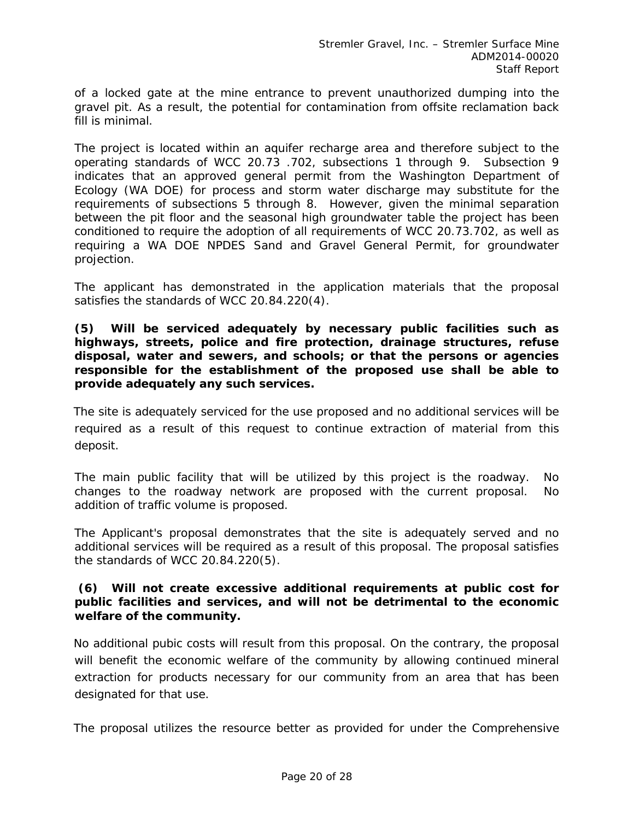of a locked gate at the mine entrance to prevent unauthorized dumping into the gravel pit. As a result, the potential for contamination from offsite reclamation back fill is minimal.

The project is located within an aquifer recharge area and therefore subject to the operating standards of WCC 20.73 .702, subsections 1 through 9. Subsection 9 indicates that an approved general permit from the Washington Department of Ecology (WA DOE) for process and storm water discharge may substitute for the requirements of subsections 5 through 8. However, given the minimal separation between the pit floor and the seasonal high groundwater table the project has been conditioned to require the adoption of all requirements of WCC 20.73.702, as well as requiring a WA DOE NPDES Sand and Gravel General Permit, for groundwater projection.

The applicant has demonstrated in the application materials that the proposal satisfies the standards of WCC 20.84.220(4).

**(5) Will be serviced adequately by necessary public facilities such as highways, streets, police and fire protection, drainage structures, refuse disposal, water and sewers, and schools; or that the persons or agencies responsible for the establishment of the proposed use shall be able to provide adequately any such services.** 

The site is adequately serviced for the use proposed and no additional services will be required as a result of this request to continue extraction of material from this deposit.

The main public facility that will be utilized by this project is the roadway. No changes to the roadway network are proposed with the current proposal. No addition of traffic volume is proposed.

The Applicant's proposal demonstrates that the site is adequately served and no additional services will be required as a result of this proposal. The proposal satisfies the standards of WCC 20.84.220(5).

### **(6) Will not create excessive additional requirements at public cost for public facilities and services, and will not be detrimental to the economic welfare of the community.**

No additional pubic costs will result from this proposal. On the contrary, the proposal will benefit the economic welfare of the community by allowing continued mineral extraction for products necessary for our community from an area that has been designated for that use.

The proposal utilizes the resource better as provided for under the Comprehensive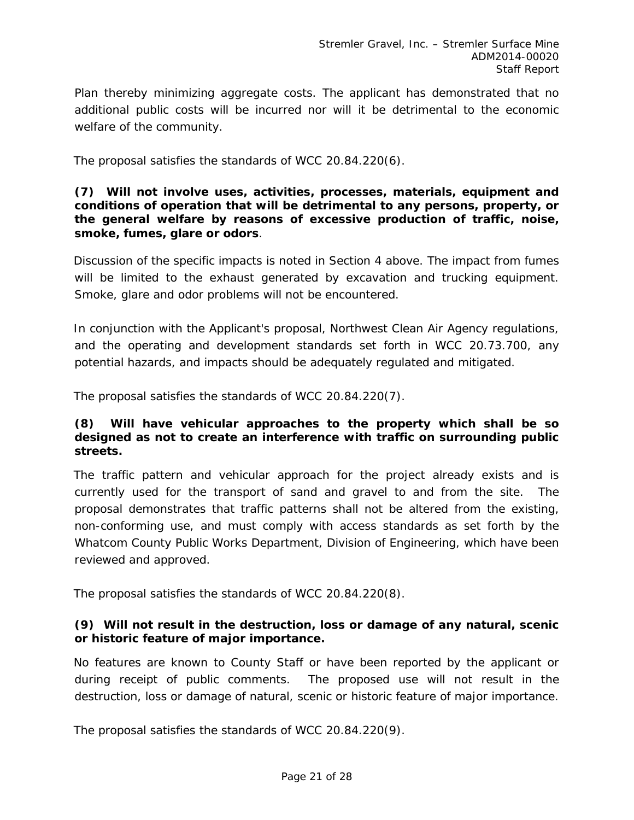Plan thereby minimizing aggregate costs. The applicant has demonstrated that no additional public costs will be incurred nor will it be detrimental to the economic welfare of the community.

The proposal satisfies the standards of WCC 20.84.220(6).

### **(7) Will not involve uses, activities, processes, materials, equipment and conditions of operation that will be detrimental to any persons, property, or the general welfare by reasons of excessive production of traffic, noise, smoke, fumes, glare or odors**.

Discussion of the specific impacts is noted in Section 4 above. The impact from fumes will be limited to the exhaust generated by excavation and trucking equipment. Smoke, glare and odor problems will not be encountered.

In conjunction with the Applicant's proposal, Northwest Clean Air Agency regulations, and the operating and development standards set forth in WCC 20.73.700, any potential hazards, and impacts should be adequately regulated and mitigated.

The proposal satisfies the standards of WCC 20.84.220(7).

## **(8) Will have vehicular approaches to the property which shall be so designed as not to create an interference with traffic on surrounding public streets.**

The traffic pattern and vehicular approach for the project already exists and is currently used for the transport of sand and gravel to and from the site. The proposal demonstrates that traffic patterns shall not be altered from the existing, non-conforming use, and must comply with access standards as set forth by the Whatcom County Public Works Department, Division of Engineering, which have been reviewed and approved.

The proposal satisfies the standards of WCC 20.84.220(8).

## **(9) Will not result in the destruction, loss or damage of any natural, scenic or historic feature of major importance.**

No features are known to County Staff or have been reported by the applicant or during receipt of public comments. The proposed use will not result in the destruction, loss or damage of natural, scenic or historic feature of major importance.

The proposal satisfies the standards of WCC 20.84.220(9).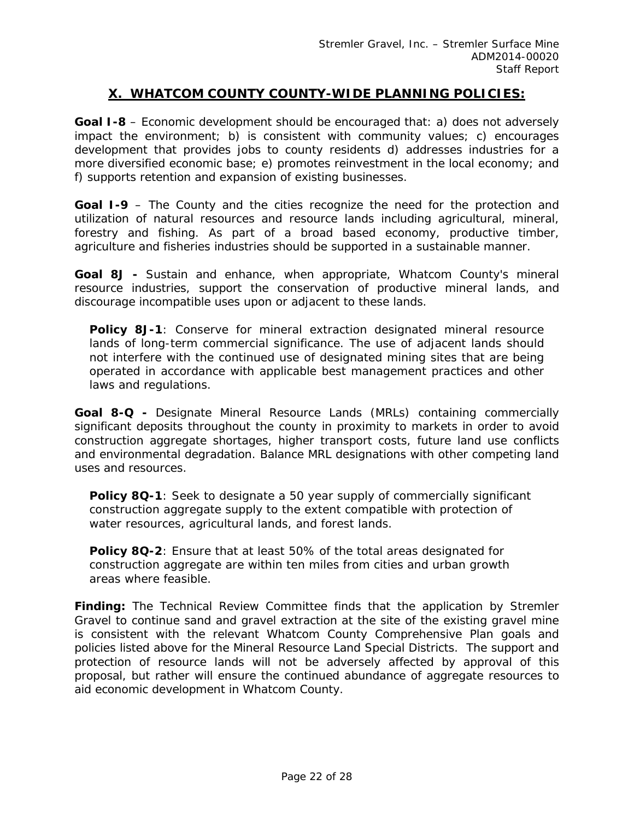## **X. WHATCOM COUNTY COUNTY-WIDE PLANNING POLICIES:**

**Goal I-8** – Economic development should be encouraged that: a) does not adversely impact the environment; b) is consistent with community values; c) encourages development that provides jobs to county residents d) addresses industries for a more diversified economic base; e) promotes reinvestment in the local economy; and f) supports retention and expansion of existing businesses.

**Goal I-9** – The County and the cities recognize the need for the protection and utilization of natural resources and resource lands including agricultural, mineral, forestry and fishing. As part of a broad based economy, productive timber, agriculture and fisheries industries should be supported in a sustainable manner.

**Goal 8J -** Sustain and enhance, when appropriate, Whatcom County's mineral resource industries, support the conservation of productive mineral lands, and discourage incompatible uses upon or adjacent to these lands.

**Policy 8J-1**: Conserve for mineral extraction designated mineral resource lands of long-term commercial significance. The use of adjacent lands should not interfere with the continued use of designated mining sites that are being operated in accordance with applicable best management practices and other laws and regulations.

**Goal 8-Q -** Designate Mineral Resource Lands (MRLs) containing commercially significant deposits throughout the county in proximity to markets in order to avoid construction aggregate shortages, higher transport costs, future land use conflicts and environmental degradation. Balance MRL designations with other competing land uses and resources.

**Policy 8Q-1**: Seek to designate a 50 year supply of commercially significant construction aggregate supply to the extent compatible with protection of water resources, agricultural lands, and forest lands.

**Policy 8Q-2**: Ensure that at least 50% of the total areas designated for construction aggregate are within ten miles from cities and urban growth areas where feasible.

*Finding: The Technical Review Committee finds that the application by Stremler Gravel to continue sand and gravel extraction at the site of the existing gravel mine is consistent with the relevant Whatcom County Comprehensive Plan goals and policies listed above for the Mineral Resource Land Special Districts. The support and protection of resource lands will not be adversely affected by approval of this proposal, but rather will ensure the continued abundance of aggregate resources to aid economic development in Whatcom County.*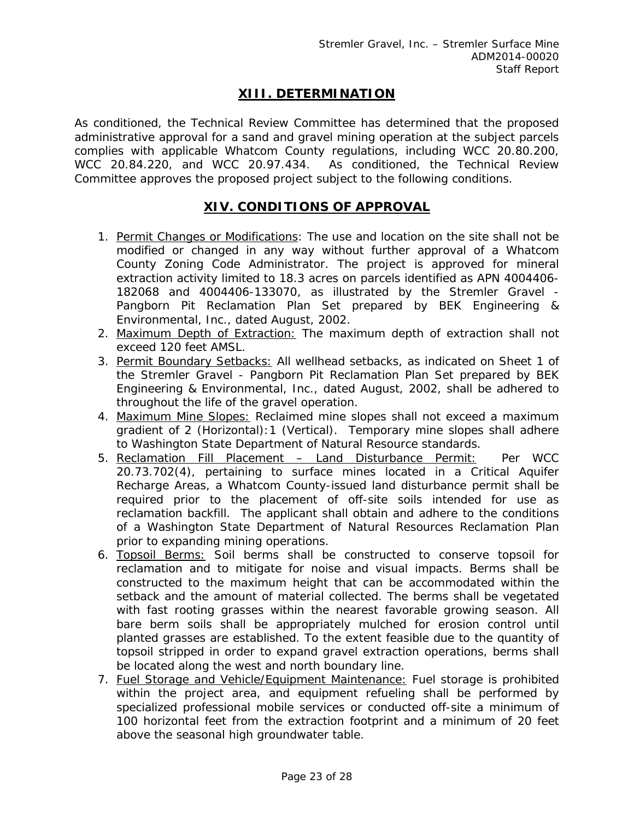# **XIII. DETERMINATION**

As conditioned, the Technical Review Committee has determined that the proposed administrative approval for a sand and gravel mining operation at the subject parcels complies with applicable Whatcom County regulations, including WCC 20.80.200, WCC 20.84.220, and WCC 20.97.434. As conditioned, the Technical Review Committee approves the proposed project subject to the following conditions.

## **XIV. CONDITIONS OF APPROVAL**

- 1. Permit Changes or Modifications: The use and location on the site shall not be modified or changed in any way without further approval of a Whatcom County Zoning Code Administrator. The project is approved for mineral extraction activity limited to 18.3 acres on parcels identified as APN 4004406- 182068 and 4004406-133070, as illustrated by the Stremler Gravel - Pangborn Pit Reclamation Plan Set prepared by BEK Engineering & Environmental, Inc., dated August, 2002.
- 2. Maximum Depth of Extraction: The maximum depth of extraction shall not exceed 120 feet AMSL.
- 3. Permit Boundary Setbacks: All wellhead setbacks, as indicated on Sheet 1 of the Stremler Gravel - Pangborn Pit Reclamation Plan Set prepared by BEK Engineering & Environmental, Inc., dated August, 2002, shall be adhered to throughout the life of the gravel operation.
- 4. Maximum Mine Slopes: Reclaimed mine slopes shall not exceed a maximum gradient of 2 (Horizontal):1 (Vertical). Temporary mine slopes shall adhere to Washington State Department of Natural Resource standards.
- 5. Reclamation Fill Placement Land Disturbance Permit: Per WCC 20.73.702(4), pertaining to surface mines located in a Critical Aquifer Recharge Areas, a Whatcom County-issued land disturbance permit shall be required prior to the placement of off-site soils intended for use as reclamation backfill. The applicant shall obtain and adhere to the conditions of a Washington State Department of Natural Resources Reclamation Plan prior to expanding mining operations.
- 6. Topsoil Berms: Soil berms shall be constructed to conserve topsoil for reclamation and to mitigate for noise and visual impacts. Berms shall be constructed to the maximum height that can be accommodated within the setback and the amount of material collected. The berms shall be vegetated with fast rooting grasses within the nearest favorable growing season. All bare berm soils shall be appropriately mulched for erosion control until planted grasses are established. To the extent feasible due to the quantity of topsoil stripped in order to expand gravel extraction operations, berms shall be located along the west and north boundary line.
- 7. Fuel Storage and Vehicle/Equipment Maintenance: Fuel storage is prohibited within the project area, and equipment refueling shall be performed by specialized professional mobile services or conducted off-site a minimum of 100 horizontal feet from the extraction footprint and a minimum of 20 feet above the seasonal high groundwater table.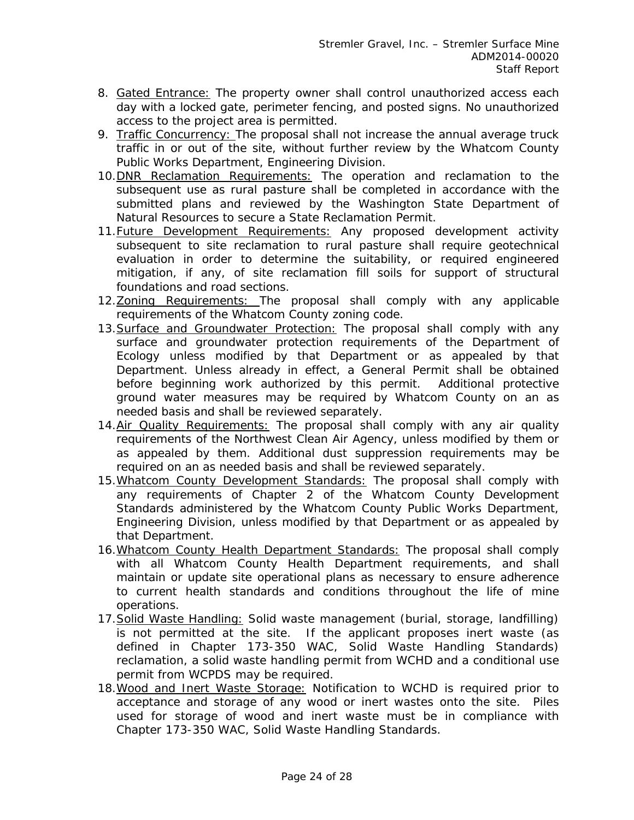- 8. Gated Entrance: The property owner shall control unauthorized access each day with a locked gate, perimeter fencing, and posted signs. No unauthorized access to the project area is permitted.
- 9. Traffic Concurrency: The proposal shall not increase the annual average truck traffic in or out of the site, without further review by the Whatcom County Public Works Department, Engineering Division.
- 10.DNR Reclamation Requirements: The operation and reclamation to the subsequent use as rural pasture shall be completed in accordance with the submitted plans and reviewed by the Washington State Department of Natural Resources to secure a State Reclamation Permit.
- 11. Future Development Requirements: Any proposed development activity subsequent to site reclamation to rural pasture shall require geotechnical evaluation in order to determine the suitability, or required engineered mitigation, if any, of site reclamation fill soils for support of structural foundations and road sections.
- 12. Zoning Requirements: The proposal shall comply with any applicable requirements of the Whatcom County zoning code.
- 13. Surface and Groundwater Protection: The proposal shall comply with any surface and groundwater protection requirements of the Department of Ecology unless modified by that Department or as appealed by that Department. Unless already in effect, a General Permit shall be obtained before beginning work authorized by this permit. Additional protective ground water measures may be required by Whatcom County on an as needed basis and shall be reviewed separately.
- 14. Air Quality Requirements: The proposal shall comply with any air quality requirements of the Northwest Clean Air Agency, unless modified by them or as appealed by them. Additional dust suppression requirements may be required on an as needed basis and shall be reviewed separately.
- 15. Whatcom County Development Standards: The proposal shall comply with any requirements of Chapter 2 of the Whatcom County Development Standards administered by the Whatcom County Public Works Department, Engineering Division, unless modified by that Department or as appealed by that Department.
- 16.Whatcom County Health Department Standards: The proposal shall comply with all Whatcom County Health Department requirements, and shall maintain or update site operational plans as necessary to ensure adherence to current health standards and conditions throughout the life of mine operations.
- 17.Solid Waste Handling: Solid waste management (burial, storage, landfilling) is not permitted at the site. If the applicant proposes inert waste (as defined in Chapter 173-350 WAC, Solid Waste Handling Standards) reclamation, a solid waste handling permit from WCHD and a conditional use permit from WCPDS may be required.
- 18.Wood and Inert Waste Storage: Notification to WCHD is required prior to acceptance and storage of any wood or inert wastes onto the site. Piles used for storage of wood and inert waste must be in compliance with Chapter 173-350 WAC, Solid Waste Handling Standards.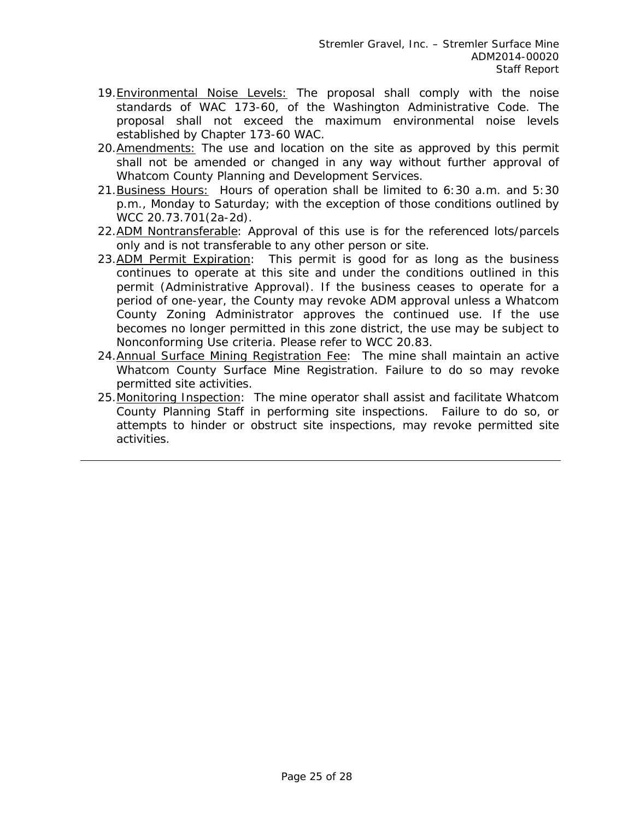- 19. Environmental Noise Levels: The proposal shall comply with the noise standards of WAC 173-60, of the Washington Administrative Code. The proposal shall not exceed the maximum environmental noise levels established by Chapter 173-60 WAC.
- 20. Amendments: The use and location on the site as approved by this permit shall not be amended or changed in any way without further approval of Whatcom County Planning and Development Services.
- 21. Business Hours: Hours of operation shall be limited to 6:30 a.m. and 5:30 p.m., Monday to Saturday; with the exception of those conditions outlined by WCC 20.73.701(2a-2d).
- 22.ADM Nontransferable: Approval of this use is for the referenced lots/parcels only and is not transferable to any other person or site.
- 23.ADM Permit Expiration: This permit is good for as long as the business continues to operate at this site and under the conditions outlined in this permit (Administrative Approval). If the business ceases to operate for a period of one-year, the County may revoke ADM approval unless a Whatcom County Zoning Administrator approves the continued use. If the use becomes no longer permitted in this zone district, the use may be subject to Nonconforming Use criteria. Please refer to WCC 20.83.
- 24.Annual Surface Mining Registration Fee: The mine shall maintain an active Whatcom County Surface Mine Registration. Failure to do so may revoke permitted site activities.
- 25. Monitoring Inspection: The mine operator shall assist and facilitate Whatcom County Planning Staff in performing site inspections. Failure to do so, or attempts to hinder or obstruct site inspections, may revoke permitted site activities.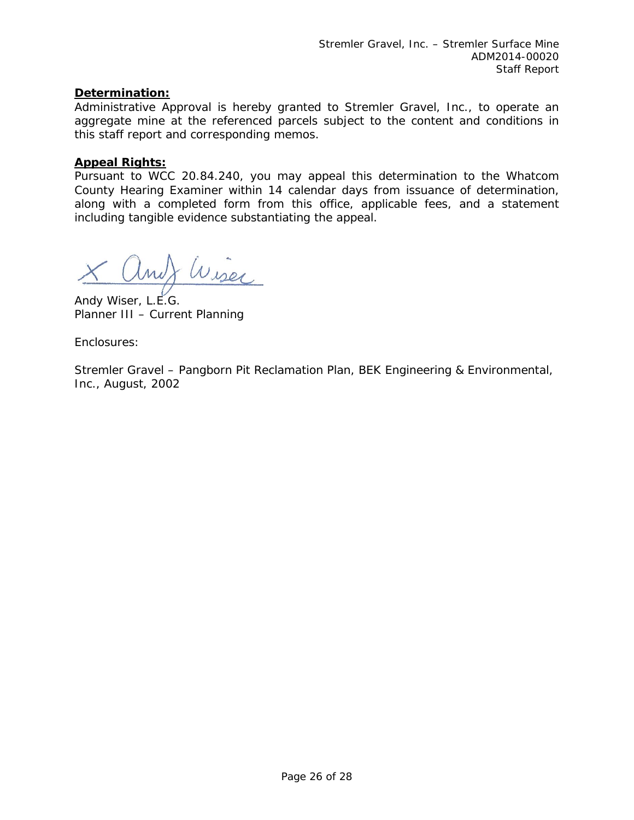## **Determination:**

Administrative Approval is hereby granted to Stremler Gravel, Inc., to operate an aggregate mine at the referenced parcels subject to the content and conditions in this staff report and corresponding memos.

### **Appeal Rights:**

Pursuant to WCC 20.84.240, you may appeal this determination to the Whatcom County Hearing Examiner within 14 calendar days from issuance of determination, along with a completed form from this office, applicable fees, and a statement including tangible evidence substantiating the appeal.

X and Wiser

Planner III – Current Planning

Enclosures:

Stremler Gravel – Pangborn Pit Reclamation Plan, BEK Engineering & Environmental, Inc., August, 2002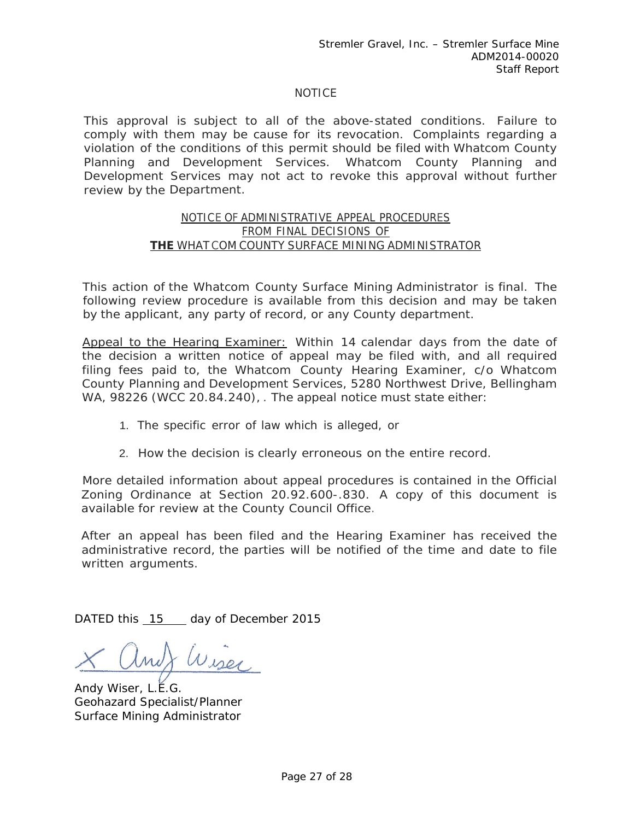### NOTICE

This approval is subject to all of the above-stated conditions. Failure to comply with them may be cause for its revocation. Complaints regarding a violation of the conditions of this permit should be filed with Whatcom County Planning and Development Services. Whatcom County Planning and Development Services may not act to revoke this approval without further review by the Department.

#### NOTICE OF ADMINISTRATIVE APPEAL PROCEDURES FROM FINAL DECISIONS OF **THE** WHAT COM COUNTY SURFACE MINING ADMINISTRATOR

This action of the Whatcom County Surface Mining Administrator is final. The following review procedure is available from this decision and may be taken by the applicant, any party of record, or any County department.

Appeal to the Hearing Examiner: Within 14 calendar days from the date of the decision a written notice of appeal may be filed with, and all required filing fees paid to, the Whatcom County Hearing Examiner, c/o Whatcom County Planning and Development Services, 5280 Northwest Drive, Bellingham WA, 98226 (WCC 20.84.240), . The appeal notice must state either:

- 1. The specific error of law which is alleged, or
- 2. How the decision is clearly erroneous on the entire record.

More detailed information about appeal procedures is contained in the Official Zoning Ordinance at Section 20.92.600-.830. A copy of this document is available for review at the County Council Office.

After an appeal has been filed and the Hearing Examiner has received the administrative record, the parties will be notified of the time and date to file written arguments.

DATED this 15 day of December 2015

Wiser

Andy Wiser, L.E.G. Geohazard Specialist/Planner Surface Mining Administrator